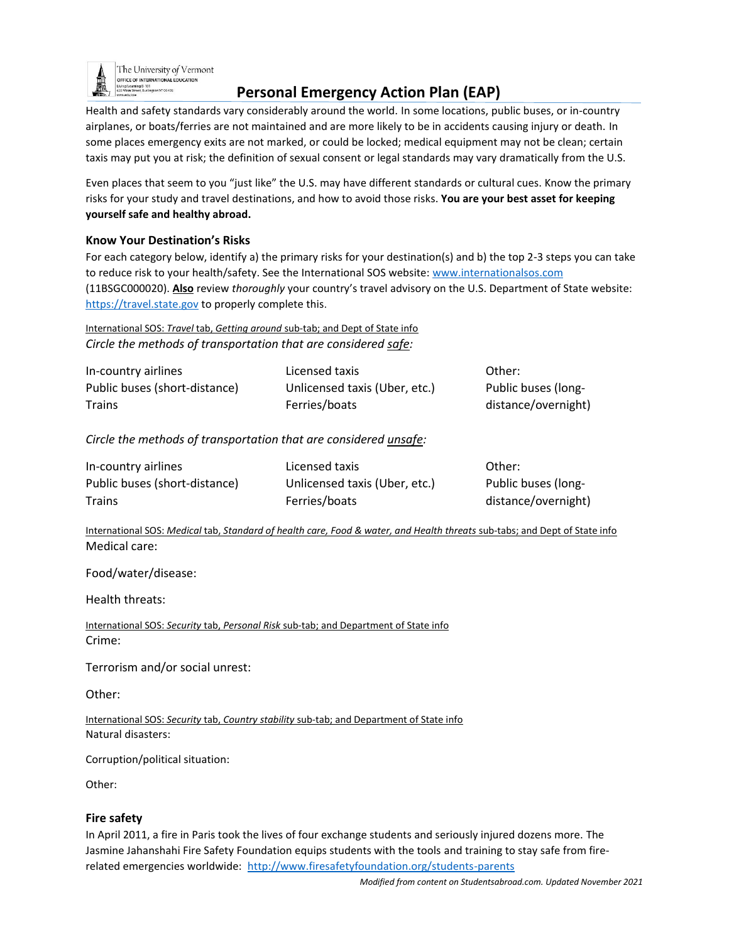

The University of Vermont OFFICE OF INTERNATIONAL EDUCATION n<br>anns VT 05405

# **Personal Emergency Action Plan (EAP)**

Health and safety standards vary considerably around the world. In some locations, public buses, or in-country airplanes, or boats/ferries are not maintained and are more likely to be in accidents causing injury or death. In some places emergency exits are not marked, or could be locked; medical equipment may not be clean; certain taxis may put you at risk; the definition of sexual consent or legal standards may vary dramatically from the U.S.

Even places that seem to you "just like" the U.S. may have different standards or cultural cues. Know the primary risks for your study and travel destinations, and how to avoid those risks. **You are your best asset for keeping yourself safe and healthy abroad.**

#### **Know Your Destination's Risks**

For each category below, identify a) the primary risks for your destination(s) and b) the top 2-3 steps you can take to reduce risk to your health/safety. See the International SOS website[: www.internationalsos.com](http://www.internationalsos.com/) (11BSGC000020). **Also** review *thoroughly* your country's travel advisory on the U.S. Department of State website: [https://travel.state.gov](https://travel.state.gov/) to properly complete this.

### International SOS: *Travel* tab, *Getting around* sub-tab; and Dept of State info *Circle the methods of transportation that are considered safe:*

| In-country airlines           | Licensed taxis                | Other:              |
|-------------------------------|-------------------------------|---------------------|
| Public buses (short-distance) | Unlicensed taxis (Uber, etc.) | Public buses (long- |
| <b>Trains</b>                 | Ferries/boats                 | distance/overnight) |

*Circle the methods of transportation that are considered unsafe:*

| In-country airlines           | Licensed taxis                | Other:              |
|-------------------------------|-------------------------------|---------------------|
| Public buses (short-distance) | Unlicensed taxis (Uber, etc.) | Public buses (long- |
| Trains                        | Ferries/boats                 | distance/overnight) |

International SOS: *Medical* tab, *Standard of health care, Food & water, and Health threats* sub-tabs; and Dept of State info Medical care:

Food/water/disease:

Health threats:

International SOS: *Security* tab, *Personal Risk* sub-tab; and Department of State info Crime:

Terrorism and/or social unrest:

Other:

International SOS: *Security* tab, *Country stability* sub-tab; and Department of State info Natural disasters:

Corruption/political situation:

Other:

#### **Fire safety**

In April 2011, a fire in Paris took the lives of four exchange students and seriously injured dozens more. The Jasmine Jahanshahi Fire Safety Foundation equips students with the tools and training to stay safe from firerelated emergencies worldwide: <http://www.firesafetyfoundation.org/students-parents>